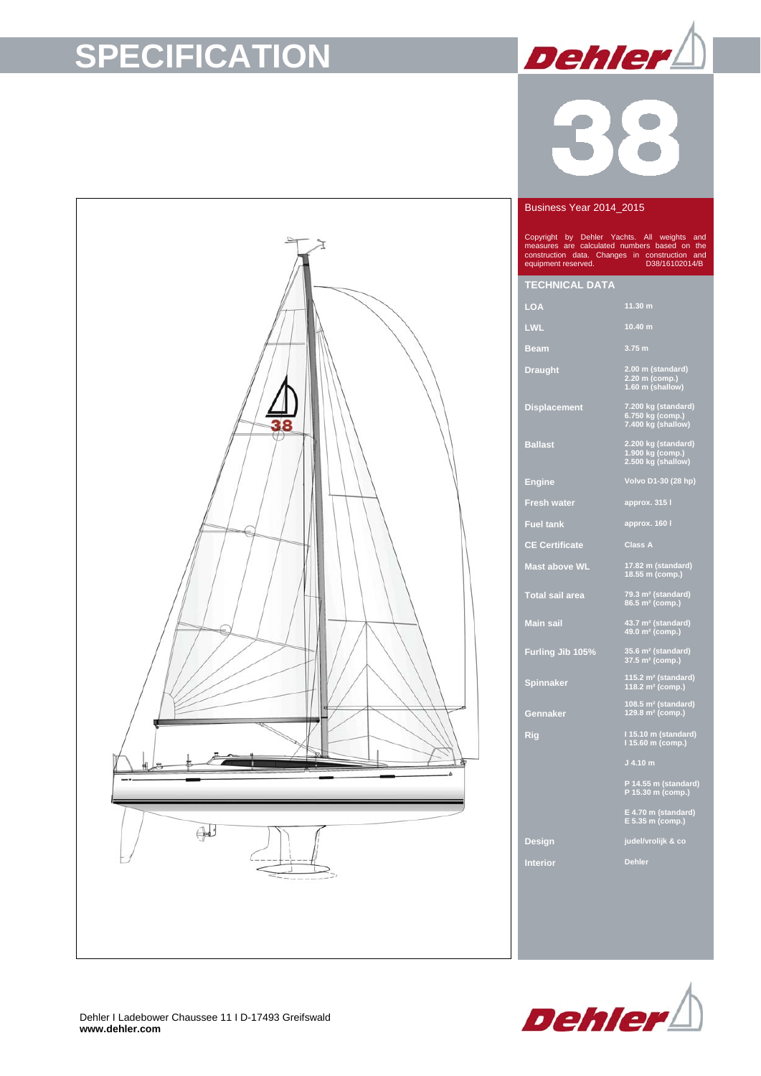# **SPECIFICATION**



### Business Year 2014\_2015

Copyright by Dehler Yachts. All weights and measures are calculated numbers based on the construction data. Changes in construction and equipment reserved. D38/16102014/B

### **TECHNICAL DATA**

| ____________________ |                                                               |
|----------------------|---------------------------------------------------------------|
| <b>LOA</b>           | 11.30 m                                                       |
| <b>LWL</b>           | 10.40 m                                                       |
| <b>Beam</b>          | 3.75 m                                                        |
| <b>Draught</b>       | 2.00 m (standard)<br>2.20 m (comp.)<br>1.60 m (shallow)       |
| <b>Displacement</b>  | 7.200 kg (standard)<br>6.750 kg (comp.)<br>7.400 kg (shallow) |
| <b>Ballast</b>       | 2.200 kg (standard)                                           |

**Ballast 2.200 kg (standard) 1.900 kg (comp.) 2.500 kg (shallow)** 

**Engine Volvo D1-30 (28 hp) Fresh water approx. 315 l**

**Fuel tank approx. 160 l**

**CE Certificate Class A**

**Mast above WL 17.82 m (standard) 18.55 m (comp.)** 

**Total sail area 79.3 m² (standard) 86.5 m² (comp.)** 

**Spinnaker** 

**Gennaker** 

**Main sail 43.7 m² (standard) 49.0 m² (comp.)** 

**Furling Jib 105% 35.6 m² (standard) 37.5 m² (comp.)** 

**115.2 m² (standard) 118.2 m² (comp.)** 

**108.5 m² (standard) 129.8 m² (comp.)** 

**Rig I 15.10 m (standard) I 15.60 m (comp.)** 

**P 14.55 m (standard) P 15.30 m (comp.)** 

**E 4.70 m (standard) E 5.35 m (comp.)** 

**Design judel/vrolijk & co**

**Interior Dehler** 



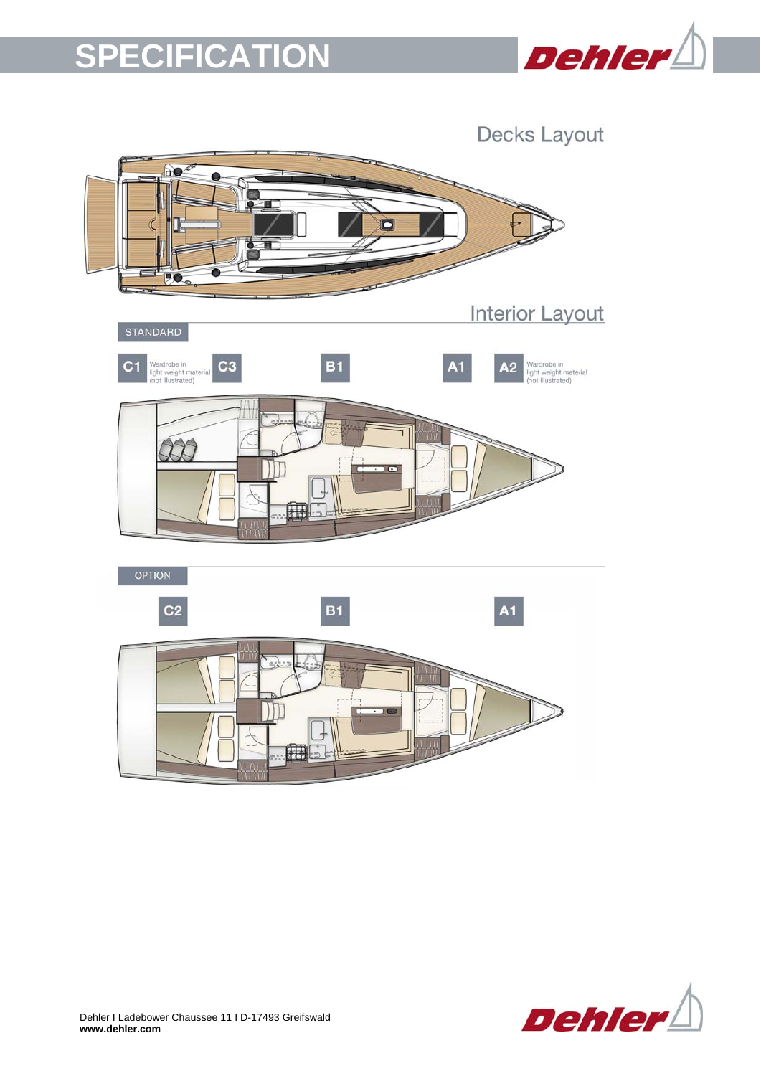## **SPECIFICATION**



Decks Layout ao Ò **PO Interior Layout** STANDARD C<sub>3</sub> Wardrobe in<br>light weight ma<br>(not illustrated)  $B<sub>1</sub>$ **A1** Wardrobe in<br>light weight material<br>(not illustrated)  $C<sub>1</sub>$  $A2$  $\epsilon$ F OPTION  $A1$  $C<sub>2</sub>$ **B1** T.